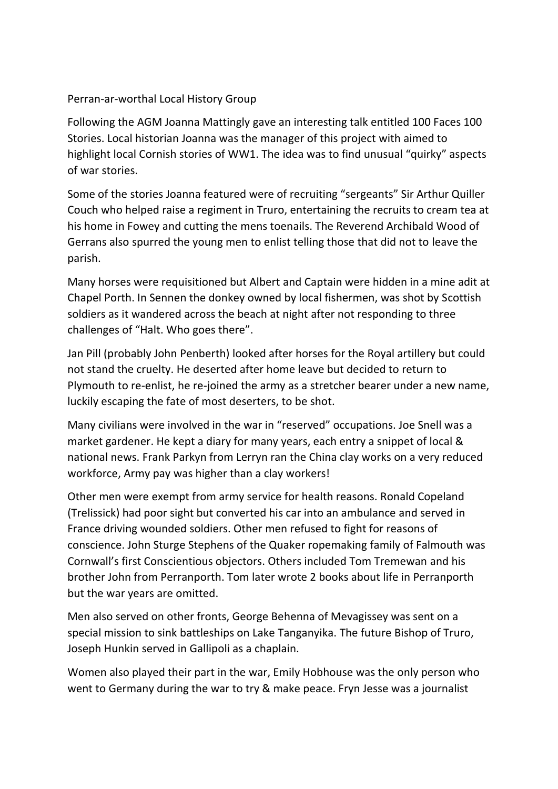## Perran-ar-worthal Local History Group

Following the AGM Joanna Mattingly gave an interesting talk entitled 100 Faces 100 Stories. Local historian Joanna was the manager of this project with aimed to highlight local Cornish stories of WW1. The idea was to find unusual "quirky" aspects of war stories.

Some of the stories Joanna featured were of recruiting "sergeants" Sir Arthur Quiller Couch who helped raise a regiment in Truro, entertaining the recruits to cream tea at his home in Fowey and cutting the mens toenails. The Reverend Archibald Wood of Gerrans also spurred the young men to enlist telling those that did not to leave the parish.

Many horses were requisitioned but Albert and Captain were hidden in a mine adit at Chapel Porth. In Sennen the donkey owned by local fishermen, was shot by Scottish soldiers as it wandered across the beach at night after not responding to three challenges of "Halt. Who goes there".

Jan Pill (probably John Penberth) looked after horses for the Royal artillery but could not stand the cruelty. He deserted after home leave but decided to return to Plymouth to re-enlist, he re-joined the army as a stretcher bearer under a new name, luckily escaping the fate of most deserters, to be shot.

Many civilians were involved in the war in "reserved" occupations. Joe Snell was a market gardener. He kept a diary for many years, each entry a snippet of local & national news. Frank Parkyn from Lerryn ran the China clay works on a very reduced workforce, Army pay was higher than a clay workers!

Other men were exempt from army service for health reasons. Ronald Copeland (Trelissick) had poor sight but converted his car into an ambulance and served in France driving wounded soldiers. Other men refused to fight for reasons of conscience. John Sturge Stephens of the Quaker ropemaking family of Falmouth was Cornwall's first Conscientious objectors. Others included Tom Tremewan and his brother John from Perranporth. Tom later wrote 2 books about life in Perranporth but the war years are omitted.

Men also served on other fronts, George Behenna of Mevagissey was sent on a special mission to sink battleships on Lake Tanganyika. The future Bishop of Truro, Joseph Hunkin served in Gallipoli as a chaplain.

Women also played their part in the war, Emily Hobhouse was the only person who went to Germany during the war to try & make peace. Fryn Jesse was a journalist